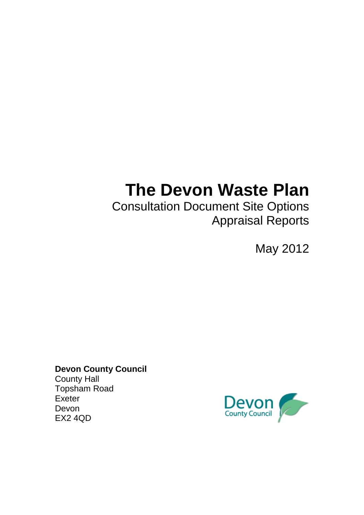# **The Devon Waste Plan**

Consultation Document Site Options Appraisal Reports

May 2012

**Devon County Council**  County Hall Topsham Road Exeter Devon EX2 4QD

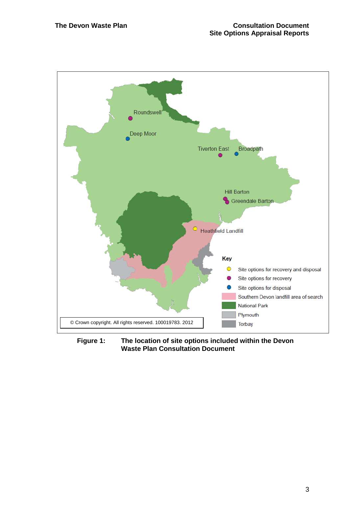

**Figure 1: The location of site options included within the Devon Waste Plan Consultation Document**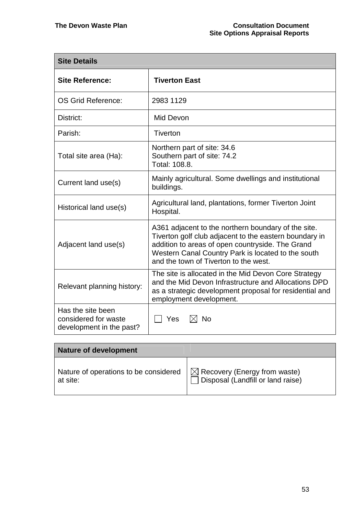| <b>Site Details</b>                                                   |                                                                                                                                                                                                                                                                  |  |  |  |  |  |
|-----------------------------------------------------------------------|------------------------------------------------------------------------------------------------------------------------------------------------------------------------------------------------------------------------------------------------------------------|--|--|--|--|--|
| <b>Site Reference:</b>                                                | <b>Tiverton East</b>                                                                                                                                                                                                                                             |  |  |  |  |  |
| OS Grid Reference:                                                    | 2983 1129                                                                                                                                                                                                                                                        |  |  |  |  |  |
| District:                                                             | Mid Devon                                                                                                                                                                                                                                                        |  |  |  |  |  |
| Parish:                                                               | Tiverton                                                                                                                                                                                                                                                         |  |  |  |  |  |
| Total site area (Ha):                                                 | Northern part of site: 34.6<br>Southern part of site: 74.2<br>Total: 108.8.                                                                                                                                                                                      |  |  |  |  |  |
| Current land use(s)                                                   | Mainly agricultural. Some dwellings and institutional<br>buildings.                                                                                                                                                                                              |  |  |  |  |  |
| Historical land use(s)                                                | Agricultural land, plantations, former Tiverton Joint<br>Hospital.                                                                                                                                                                                               |  |  |  |  |  |
| Adjacent land use(s)                                                  | A361 adjacent to the northern boundary of the site.<br>Tiverton golf club adjacent to the eastern boundary in<br>addition to areas of open countryside. The Grand<br>Western Canal Country Park is located to the south<br>and the town of Tiverton to the west. |  |  |  |  |  |
| Relevant planning history:                                            | The site is allocated in the Mid Devon Core Strategy<br>and the Mid Devon Infrastructure and Allocations DPD<br>as a strategic development proposal for residential and<br>employment development.                                                               |  |  |  |  |  |
| Has the site been<br>considered for waste<br>development in the past? | Yes<br>$\boxtimes$ No                                                                                                                                                                                                                                            |  |  |  |  |  |

| <b>Nature of development</b>          |                                                |
|---------------------------------------|------------------------------------------------|
| Nature of operations to be considered | $\vert \boxtimes$ Recovery (Energy from waste) |
| at site:                              | Disposal (Landfill or land raise)              |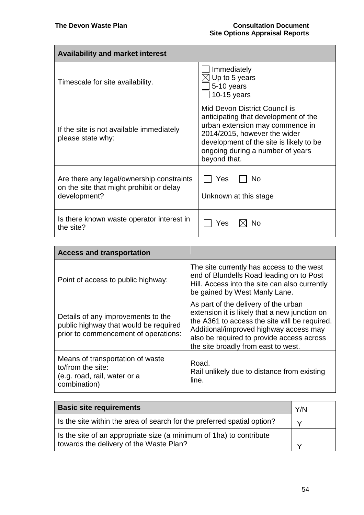| <b>Availability and market interest</b>                                                               |                                                                                                                                                                                                                                         |  |
|-------------------------------------------------------------------------------------------------------|-----------------------------------------------------------------------------------------------------------------------------------------------------------------------------------------------------------------------------------------|--|
| Timescale for site availability.                                                                      | Immediately<br>$\triangleleft$ Up to 5 years<br>5-10 years<br>$10-15$ years                                                                                                                                                             |  |
| If the site is not available immediately<br>please state why:                                         | Mid Devon District Council is<br>anticipating that development of the<br>urban extension may commence in<br>2014/2015, however the wider<br>development of the site is likely to be<br>ongoing during a number of years<br>beyond that. |  |
| Are there any legal/ownership constraints<br>on the site that might prohibit or delay<br>development? | Yes<br>No<br>Unknown at this stage                                                                                                                                                                                                      |  |
| Is there known waste operator interest in<br>the site?                                                | No<br>Yes                                                                                                                                                                                                                               |  |

| <b>Access and transportation</b>                                                                                    |                                                                                                                                                                                                                                                                      |  |  |  |
|---------------------------------------------------------------------------------------------------------------------|----------------------------------------------------------------------------------------------------------------------------------------------------------------------------------------------------------------------------------------------------------------------|--|--|--|
| Point of access to public highway:                                                                                  | The site currently has access to the west<br>end of Blundells Road leading on to Post<br>Hill. Access into the site can also currently<br>be gained by West Manly Lane.                                                                                              |  |  |  |
| Details of any improvements to the<br>public highway that would be required<br>prior to commencement of operations: | As part of the delivery of the urban<br>extension it is likely that a new junction on<br>the A361 to access the site will be required.<br>Additional/improved highway access may<br>also be required to provide access across<br>the site broadly from east to west. |  |  |  |
| Means of transportation of waste<br>to/from the site:<br>(e.g. road, rail, water or a<br>combination)               | Road.<br>Rail unlikely due to distance from existing<br>line.                                                                                                                                                                                                        |  |  |  |

| <b>Basic site requirements</b>                                          | Y/N          |
|-------------------------------------------------------------------------|--------------|
| Is the site within the area of search for the preferred spatial option? | $\checkmark$ |
| Is the site of an appropriate size (a minimum of 1ha) to contribute     |              |
| towards the delivery of the Waste Plan?                                 |              |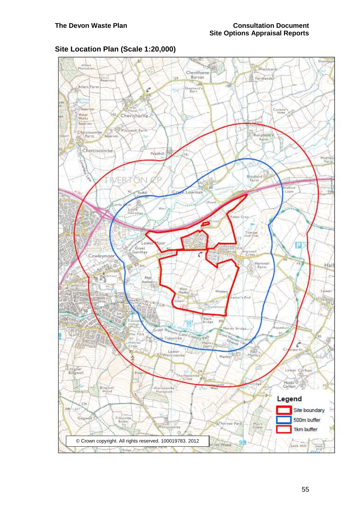# **Site Location Plan (Scale 1:20,000)**

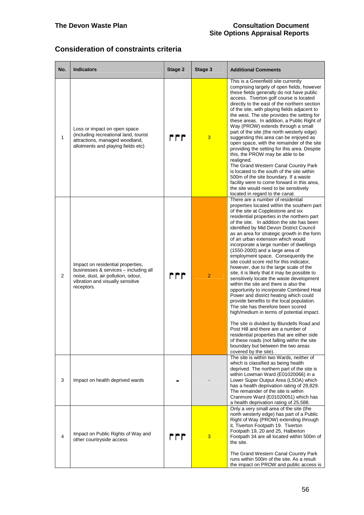# **Consideration of constraints criteria**

| No.            | <b>Indicators</b>                                                                                                                                                  | Stage 2 | Stage 3        | <b>Additional Comments</b>                                                                                                                                                                                                                                                                                                                                                                                                                                                                                                                                                                                                                                                                                                                                                                                                                                                                                                                                                                                                                                                                                                                                                 |
|----------------|--------------------------------------------------------------------------------------------------------------------------------------------------------------------|---------|----------------|----------------------------------------------------------------------------------------------------------------------------------------------------------------------------------------------------------------------------------------------------------------------------------------------------------------------------------------------------------------------------------------------------------------------------------------------------------------------------------------------------------------------------------------------------------------------------------------------------------------------------------------------------------------------------------------------------------------------------------------------------------------------------------------------------------------------------------------------------------------------------------------------------------------------------------------------------------------------------------------------------------------------------------------------------------------------------------------------------------------------------------------------------------------------------|
| 1              | Loss or impact on open space<br>(including recreational land, tourist<br>attractions, managed woodland,<br>allotments and playing fields etc)                      | r r r   | 3              | This is a Greenfield site currently<br>comprising largely of open fields, however<br>these fields generally do not have public<br>access. Tiverton golf course is located<br>directly to the east of the northern section<br>of the site, with playing fields adjacent to<br>the west. The site provides the setting for<br>these areas. In addition, a Public Right of<br>Way (PROW) extends through a small<br>part of the site (the north westerly edge)<br>suggesting this area can be enjoyed as<br>open space, with the remainder of the site<br>providing the setting for this area. Despite<br>this, the PROW may be able to be<br>realigned.<br>The Grand Western Canal Country Park<br>is located to the south of the site within<br>500m of the site boundary. If a waste<br>facility were to come forward in this area,<br>the site would need to be sensitively<br>located in regard to the canal.                                                                                                                                                                                                                                                            |
| $\overline{2}$ | Impact on residential properties,<br>businesses & services - including all<br>noise, dust, air pollution, odour,<br>vibration and visually sensitive<br>receptors. | rrr     | $\overline{2}$ | There are a number of residential<br>properties located within the southern part<br>of the site at Copplestone and six<br>residential properties in the northern part<br>of the site. In addition the site has been<br>identified by Mid Devon District Council<br>as an area for strategic growth in the form<br>of an urban extension which would<br>incorporate a large number of dwellings<br>(1550-2000) and a large area of<br>employment space. Consequently the<br>site could score red for this indicator,<br>however, due to the large scale of the<br>site, it is likely that it may be possible to<br>sensitively locate the waste development<br>within the site and there is also the<br>opportunity to incorporate Combined Heat<br>Power and district heating which could<br>provide benefits to the local population.<br>The site has therefore been scored<br>high/medium in terms of potential impact.<br>The site is divided by Blundells Road and<br>Post Hill and there are a number of<br>residential properties that are either side<br>of these roads (not falling within the site<br>boundary but between the two areas<br>covered by the site). |
| 3              | Impact on health deprived wards                                                                                                                                    |         |                | The site is within two Wards, neither of<br>which is classified as being health<br>deprived. The northern part of the site is<br>within Lowman Ward (E01020066) in a<br>Lower Super Output Area (LSOA) which<br>has a health deprivation rating of 29,829.<br>The remainder of the site is within<br>Cranmore Ward (E01020051) which has<br>a health deprivation rating of 25,588.                                                                                                                                                                                                                                                                                                                                                                                                                                                                                                                                                                                                                                                                                                                                                                                         |
| 4              | Impact on Public Rights of Way and<br>other countryside access                                                                                                     | rrr     | 3              | Only a very small area of the site (the<br>north westerly edge) has part of a Public<br>Right of Way (PROW) extending through<br>it, Tiverton Footpath 19. Tiverton<br>Footpath 19, 20 and 25, Halberton<br>Footpath 34 are all located within 500m of<br>the site.<br>The Grand Western Canal Country Park<br>runs within 500m of the site. As a result<br>the impact on PROW and public access is                                                                                                                                                                                                                                                                                                                                                                                                                                                                                                                                                                                                                                                                                                                                                                        |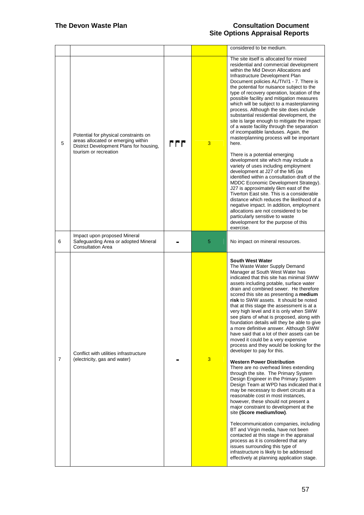|   |                                                                                                                        |     |   | considered to be medium.                                                                                                                                                                                                                                                                                                                                                                                                                                                                                                                                                                                                                                                                                                                                                                                                                                                                                                                                                                                                                                                                                                                                                                                                                                                                                                                                                                                                    |
|---|------------------------------------------------------------------------------------------------------------------------|-----|---|-----------------------------------------------------------------------------------------------------------------------------------------------------------------------------------------------------------------------------------------------------------------------------------------------------------------------------------------------------------------------------------------------------------------------------------------------------------------------------------------------------------------------------------------------------------------------------------------------------------------------------------------------------------------------------------------------------------------------------------------------------------------------------------------------------------------------------------------------------------------------------------------------------------------------------------------------------------------------------------------------------------------------------------------------------------------------------------------------------------------------------------------------------------------------------------------------------------------------------------------------------------------------------------------------------------------------------------------------------------------------------------------------------------------------------|
| 5 | Potential for physical constraints on<br>areas allocated or emerging within<br>District Development Plans for housing, | rrr | 3 | The site itself is allocated for mixed<br>residential and commercial development<br>within the Mid Devon Allocations and<br>Infrastructure Development Plan<br>Document policies AL/TIV/1 - 7. There is<br>the potential for nuisance subject to the<br>type of recovery operation, location of the<br>possible facility and mitigation measures<br>which will be subject to a masterplanning<br>process. Although the site does include<br>substantial residential development, the<br>site is large enough to mitigate the impact<br>of a waste facility through the separation<br>of incompatible landuses. Again, the<br>masterplanning process will be important<br>here.                                                                                                                                                                                                                                                                                                                                                                                                                                                                                                                                                                                                                                                                                                                                              |
|   | tourism or recreation                                                                                                  |     |   | There is a potential emerging<br>development site which may include a<br>variety of uses including employment<br>development at J27 of the M5 (as<br>identified within a consultation draft of the<br>MDDC Economic Development Strategy).<br>J27 is approximately 6km east of the<br>Tiverton East site. This is a considerable<br>distance which reduces the likelihood of a<br>negative impact. In addition, employment<br>allocations are not considered to be<br>particularly sensitive to waste<br>development for the purpose of this<br>exercise.                                                                                                                                                                                                                                                                                                                                                                                                                                                                                                                                                                                                                                                                                                                                                                                                                                                                   |
| 6 | Impact upon proposed Mineral<br>Safeguarding Area or adopted Mineral<br><b>Consultation Area</b>                       |     | 5 | No impact on mineral resources.                                                                                                                                                                                                                                                                                                                                                                                                                                                                                                                                                                                                                                                                                                                                                                                                                                                                                                                                                                                                                                                                                                                                                                                                                                                                                                                                                                                             |
| 7 | Conflict with utilities infrastructure<br>(electricity, gas and water)                                                 |     | 3 | <b>South West Water</b><br>The Waste Water Supply Demand<br>Manager at South West Water has<br>indicated that this site has minimal SWW<br>assets including potable, surface water<br>drain and combined sewer. He therefore<br>scored this site as presenting a medium<br>risk to SWW assets. It should be noted<br>that at this stage the assessment is at a<br>very high level and it is only when SWW<br>see plans of what is proposed, along with<br>foundation details will they be able to give<br>a more definitive answer. Although SWW<br>have said that a lot of their assets can be<br>moved it could be a very expensive<br>process and they would be looking for the<br>developer to pay for this.<br><b>Western Power Distribution</b><br>There are no overhead lines extending<br>through the site. The Primary System<br>Design Engineer in the Primary System<br>Design Team at WPD has indicated that it<br>may be necessary to divert circuits at a<br>reasonable cost in most instances,<br>however, these should not present a<br>major constraint to development at the<br>site (Score medium/low).<br>Telecommunication companies, including<br>BT and Virgin media, have not been<br>contacted at this stage in the appraisal<br>process as it is considered that any<br>issues surrounding this type of<br>infrastructure is likely to be addressed<br>effectively at planning application stage. |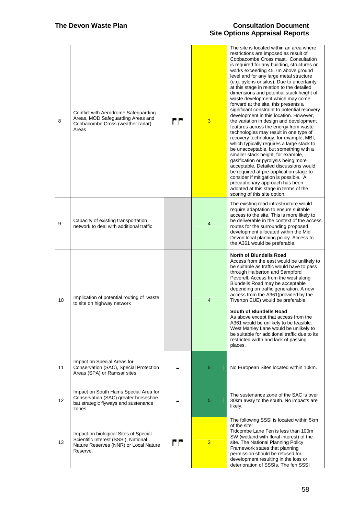| 8  | Conflict with Aerodrome Safeguarding<br>Areas, MOD Safeguarding Areas and<br>Cobbacombe Cross (weather radar)<br>Areas             | rr | 3              | The site is located within an area where<br>restrictions are imposed as result of<br>Cobbacombe Cross mast. Consultation<br>is required for any building, structures or<br>works exceeding 45.7m above ground<br>level and for any large metal structure<br>(e.g. pylons or silos). Due to uncertainty<br>at this stage in relation to the detailed<br>dimensions and potential stack height of<br>waste development which may come<br>forward at the site, this presents a<br>significant constraint to potential recovery<br>development in this location. However,<br>the variation in design and development<br>features across the energy from waste<br>technologies may result in one type of<br>recovery technology, for example, MBI,<br>which typically requires a large stack to<br>be unacceptable, but something with a<br>smaller stack height, for example,<br>gasification or pyrolysis being more<br>acceptable. Detailed discussions would<br>be required at pre-application stage to<br>consider if mitigation is possible. A<br>precautionary approach has been<br>adopted at this stage in terms of the<br>scoring of this site option. |
|----|------------------------------------------------------------------------------------------------------------------------------------|----|----------------|-------------------------------------------------------------------------------------------------------------------------------------------------------------------------------------------------------------------------------------------------------------------------------------------------------------------------------------------------------------------------------------------------------------------------------------------------------------------------------------------------------------------------------------------------------------------------------------------------------------------------------------------------------------------------------------------------------------------------------------------------------------------------------------------------------------------------------------------------------------------------------------------------------------------------------------------------------------------------------------------------------------------------------------------------------------------------------------------------------------------------------------------------------------|
| 9  | Capacity of existing transportation<br>network to deal with additional traffic                                                     |    | $\overline{4}$ | The existing road infrastructure would<br>require adaptation to ensure suitable<br>access to the site. This is more likely to<br>be deliverable in the context of the access<br>routes for the surrounding proposed<br>development allocated within the Mid<br>Devon local planning policy. Access to<br>the A361 would be preferable.                                                                                                                                                                                                                                                                                                                                                                                                                                                                                                                                                                                                                                                                                                                                                                                                                      |
| 10 | Implication of potential routing of waste<br>to site on highway network                                                            |    | $\overline{4}$ | <b>North of Blundells Road</b><br>Access from the east would be unlikely to<br>be suitable as traffic would have to pass<br>through Halberton and Sampford<br>Peverell. Access from the west along<br>Blundells Road may be acceptable<br>depending on traffic generation. A new<br>access from the A361 (provided by the<br>Tiverton EUE) would be preferable.<br>South of Blundells Road<br>As above except that access from the<br>A361 would be unlikely to be feasible.<br>West Manley Lane would be unlikely to<br>be suitable for additional traffic due to its<br>restricted width and lack of passing<br>places.                                                                                                                                                                                                                                                                                                                                                                                                                                                                                                                                   |
| 11 | Impact on Special Areas for<br>Conservation (SAC), Special Protection<br>Areas (SPA) or Ramsar sites                               |    | 5              | No European Sites located within 10km.                                                                                                                                                                                                                                                                                                                                                                                                                                                                                                                                                                                                                                                                                                                                                                                                                                                                                                                                                                                                                                                                                                                      |
| 12 | Impact on South Hams Special Area for<br>Conservation (SAC) greater horseshoe<br>bat strategic flyways and sustenance<br>zones     |    | 5              | The sustenance zone of the SAC is over<br>30km away to the south. No impacts are<br>likely.                                                                                                                                                                                                                                                                                                                                                                                                                                                                                                                                                                                                                                                                                                                                                                                                                                                                                                                                                                                                                                                                 |
| 13 | Impact on biological Sites of Special<br>Scientific Interest (SSSI), National<br>Nature Reserves (NNR) or Local Nature<br>Reserve. | rr | 3              | The following SSSI is located within 5km<br>of the site:<br>Tidcombe Lane Fen is less than 100m<br>SW (wetland with floral interest) of the<br>site. The National Planning Policy<br>Framework states that planning<br>permission should be refused for<br>development resulting in the loss or<br>deterioration of SSSIs. The fen SSSI                                                                                                                                                                                                                                                                                                                                                                                                                                                                                                                                                                                                                                                                                                                                                                                                                     |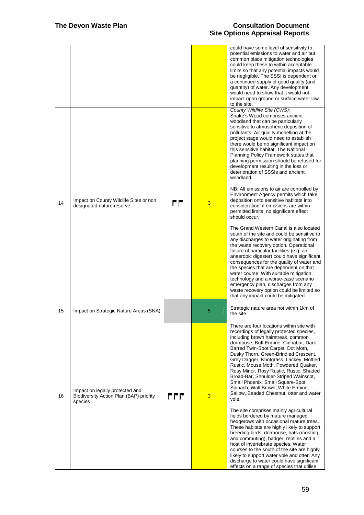|    |                                                                                       |     |   | could have some level of sensitivity to<br>potential emissions to water and air but<br>common place mitigation technologies<br>could keep these to within acceptable<br>limits so that any potential impacts would<br>be negligible. The SSSI is dependent on<br>a continued supply of good quality (and<br>quantity) of water. Any development<br>would need to show that it would not<br>impact upon ground or surface water low<br>to the site.                                                                                                                                                                                                                                                                                                                                                                                                                                                                                                                                                                                                         |
|----|---------------------------------------------------------------------------------------|-----|---|------------------------------------------------------------------------------------------------------------------------------------------------------------------------------------------------------------------------------------------------------------------------------------------------------------------------------------------------------------------------------------------------------------------------------------------------------------------------------------------------------------------------------------------------------------------------------------------------------------------------------------------------------------------------------------------------------------------------------------------------------------------------------------------------------------------------------------------------------------------------------------------------------------------------------------------------------------------------------------------------------------------------------------------------------------|
|    |                                                                                       |     |   | County Wildlife Site (CWS):<br>Snake's Wood comprises ancient<br>woodland that can be particularly<br>sensitive to atmospheric deposition of<br>pollutants. Air quality modelling at the<br>project stage would need to establish<br>there would be no significant impact on<br>this sensitive habitat. The National<br>Planning Policy Framework states that<br>planning permission should be refused for<br>development resulting in the loss or<br>deterioration of SSSIs and ancient<br>woodland.                                                                                                                                                                                                                                                                                                                                                                                                                                                                                                                                                      |
| 14 | Impact on County Wildlife Sites or non<br>designated nature reserve                   | rr  | 3 | NB: All emissions to air are controlled by<br>Environment Agency permits which take<br>deposition onto sensitive habitats into<br>consideration; if emissions are within<br>permitted limits, no significant effect<br>should occur.                                                                                                                                                                                                                                                                                                                                                                                                                                                                                                                                                                                                                                                                                                                                                                                                                       |
|    |                                                                                       |     |   | The Grand Western Canal is also located<br>south of the site and could be sensitive to<br>any discharges to water originating from<br>the waste recovery option. Operational<br>failure of particular facilities (e.g. an<br>anaerobic digester) could have significant<br>consequences for the quality of water and<br>the species that are dependent on that<br>water course. With suitable mitigation<br>technology and a worse-case scenario<br>emergency plan, discharges from any<br>waste recovery option could be limited so<br>that any impact could be mitigated.                                                                                                                                                                                                                                                                                                                                                                                                                                                                                |
| 15 | Impact on Strategic Nature Areas (SNA)                                                |     | 5 | Strategic nature area not within 1km of<br>the site.                                                                                                                                                                                                                                                                                                                                                                                                                                                                                                                                                                                                                                                                                                                                                                                                                                                                                                                                                                                                       |
| 16 | Impact on legally protected and<br>Biodiversity Action Plan (BAP) priority<br>species | rrr | 3 | There are four locations within site with<br>recordings of legally protected species,<br>including brown hairstreak, common<br>dormouse, Buff Ermine, Cinnabar, Dark-<br>Barred Twin-Spot Carpet, Dot Moth,<br>Dusky Thorn, Green-Brindled Crescent,<br>Grey Dagger, Knotgrass, Lackey, Mottled<br>Rustic, Mouse Moth, Powdered Quaker,<br>Rosy Minor, Rosy Rustic, Rustic, Shaded<br>Broad-Bar, Shoulder-Striped Wainscot,<br>Small Phoenix, Small Square-Spot,<br>Spinach, Wall Brown, White Ermine,<br>Sallow, Beaded Chestnut, otter and water<br>vole.<br>The site comprises mainly agricultural<br>fields bordered by mature managed<br>hedgerows with occasional mature trees.<br>These habitats are highly likely to support<br>breeding birds, dormouse, bats (roosting<br>and commuting), badger, reptiles and a<br>host of invertebrate species. Water<br>courses to the south of the site are highly<br>likely to support water vole and otter. Any<br>discharge to water could have significant<br>effects on a range of species that utilise |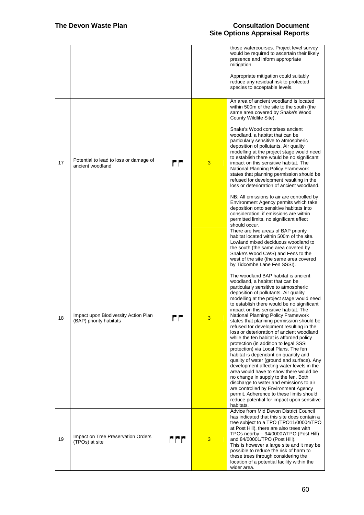|    |                                                                 |       |   | those watercourses. Project level survey<br>would be required to ascertain their likely<br>presence and inform appropriate<br>mitigation.<br>Appropriate mitigation could suitably<br>reduce any residual risk to protected<br>species to acceptable levels.                                                                                                                                                                                                                                                                                                                                                                                                                                                                                                                                                                                                                                                                                                                                                                                                                                                                                                                                                                                                                                         |
|----|-----------------------------------------------------------------|-------|---|------------------------------------------------------------------------------------------------------------------------------------------------------------------------------------------------------------------------------------------------------------------------------------------------------------------------------------------------------------------------------------------------------------------------------------------------------------------------------------------------------------------------------------------------------------------------------------------------------------------------------------------------------------------------------------------------------------------------------------------------------------------------------------------------------------------------------------------------------------------------------------------------------------------------------------------------------------------------------------------------------------------------------------------------------------------------------------------------------------------------------------------------------------------------------------------------------------------------------------------------------------------------------------------------------|
| 17 | Potential to lead to loss or damage of<br>ancient woodland      | r F   | 3 | An area of ancient woodland is located<br>within 500m of the site to the south (the<br>same area covered by Snake's Wood<br>County Wildlife Site).<br>Snake's Wood comprises ancient<br>woodland, a habitat that can be<br>particularly sensitive to atmospheric<br>deposition of pollutants. Air quality<br>modelling at the project stage would need<br>to establish there would be no significant<br>impact on this sensitive habitat. The<br>National Planning Policy Framework<br>states that planning permission should be<br>refused for development resulting in the<br>loss or deterioration of ancient woodland.<br>NB: All emissions to air are controlled by<br>Environment Agency permits which take<br>deposition onto sensitive habitats into<br>consideration; if emissions are within<br>permitted limits, no significant effect<br>should occur.                                                                                                                                                                                                                                                                                                                                                                                                                                   |
| 18 | Impact upon Biodiversity Action Plan<br>(BAP) priority habitats |       |   | There are two areas of BAP priority<br>habitat located within 500m of the site.<br>Lowland mixed deciduous woodland to<br>the south (the same area covered by<br>Snake's Wood CWS) and Fens to the<br>west of the site (the same area covered<br>by Tidcombe Lane Fen SSSI).<br>The woodland BAP habitat is ancient<br>woodland, a habitat that can be<br>particularly sensitive to atmospheric<br>deposition of pollutants. Air quality<br>modelling at the project stage would need<br>to establish there would be no significant<br>impact on this sensitive habitat. The<br>National Planning Policy Framework<br>states that planning permission should be<br>refused for development resulting in the<br>loss or deterioration of ancient woodland<br>while the fen habitat is afforded policy<br>protection (in addition to legal SSSI<br>protection) via Local Plans. The fen<br>habitat is dependant on quantity and<br>quality of water (ground and surface). Any<br>development affecting water levels in the<br>area would have to show there would be<br>no change in supply to the fen. Both<br>discharge to water and emissions to air<br>are controlled by Environment Agency<br>permit. Adherence to these limits should<br>reduce potential for impact upon sensitive<br>habitats. |
| 19 | Impact on Tree Preservation Orders<br>(TPOs) at site            | r r r | 3 | Advice from Mid Devon District Council<br>has indicated that this site does contain a<br>tree subject to a TPO (TPO11/00004/TPO<br>at Post Hill), there are also trees with<br>TPOs nearby - 94/00007/TPO (Post Hill)<br>and 84/00001/TPO (Post Hill).<br>This is however a large site and it may be<br>possible to reduce the risk of harm to<br>these trees through considering the<br>location of a potential facility within the<br>wider area.                                                                                                                                                                                                                                                                                                                                                                                                                                                                                                                                                                                                                                                                                                                                                                                                                                                  |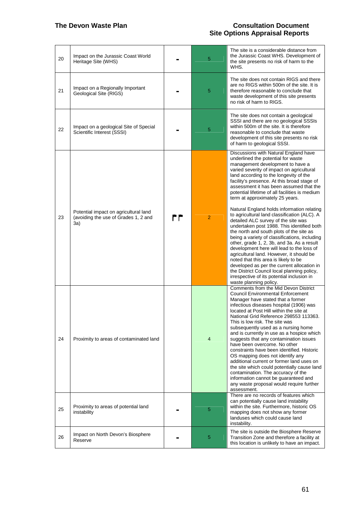| 20 | Impact on the Jurassic Coast World<br>Heritage Site (WHS)                            |    | 5              | The site is a considerable distance from<br>the Jurassic Coast WHS. Development of<br>the site presents no risk of harm to the<br>WHS.                                                                                                                                                                                                                                                                                                                                                                                                                                                                                                                                                                                                                                                                                                                                                                                                                                                                                    |
|----|--------------------------------------------------------------------------------------|----|----------------|---------------------------------------------------------------------------------------------------------------------------------------------------------------------------------------------------------------------------------------------------------------------------------------------------------------------------------------------------------------------------------------------------------------------------------------------------------------------------------------------------------------------------------------------------------------------------------------------------------------------------------------------------------------------------------------------------------------------------------------------------------------------------------------------------------------------------------------------------------------------------------------------------------------------------------------------------------------------------------------------------------------------------|
| 21 | Impact on a Regionally Important<br>Geological Site (RIGS)                           |    | 5              | The site does not contain RIGS and there<br>are no RIGS within 500m of the site. It is<br>therefore reasonable to conclude that<br>waste development of this site presents<br>no risk of harm to RIGS.                                                                                                                                                                                                                                                                                                                                                                                                                                                                                                                                                                                                                                                                                                                                                                                                                    |
| 22 | Impact on a geological Site of Special<br>Scientific Interest (SSSI)                 |    | 5              | The site does not contain a geological<br>SSSI and there are no geological SSSIs<br>within 500m of the site. It is therefore<br>reasonable to conclude that waste<br>development of this site presents no risk<br>of harm to geological SSSI.                                                                                                                                                                                                                                                                                                                                                                                                                                                                                                                                                                                                                                                                                                                                                                             |
| 23 | Potential impact on agricultural land<br>(avoiding the use of Grades 1, 2 and<br>3a) | rr | $\overline{2}$ | Discussions with Natural England have<br>underlined the potential for waste<br>management development to have a<br>varied severity of impact on agricultural<br>land according to the longevity of the<br>facility's presence. At this broad stage of<br>assessment it has been assumed that the<br>potential lifetime of all facilities is medium<br>term at approximately 25 years.<br>Natural England holds information relating<br>to agricultural land classification (ALC). A<br>detailed ALC survey of the site was<br>undertaken post 1988. This identified both<br>the north and south plots of the site as<br>being a variety of classifications, including<br>other, grade 1, 2, 3b, and 3a. As a result<br>development here will lead to the loss of<br>agricultural land. However, it should be<br>noted that this area is likely to be<br>developed as per the current allocation in<br>the District Council local planning policy,<br>irrespective of its potential inclusion in<br>waste planning policy. |
| 24 | Proximity to areas of contaminated land                                              |    | 4              | Comments from the Mid Devon District<br><b>Council Environmental Enforcement</b><br>Manager have stated that a former<br>infectious diseases hospital (1906) was<br>located at Post Hill within the site at<br>National Grid Reference 298553 113363.<br>This is low risk. The site was<br>subsequently used as a nursing home<br>and is currently in use as a hospice which<br>suggests that any contamination issues<br>have been overcome. No other<br>constraints have been identified. Historic<br>OS mapping does not identify any<br>additional current or former land uses on<br>the site which could potentially cause land<br>contamination. The accuracy of the<br>information cannot be guaranteed and<br>any waste proposal would require further<br>assessment.<br>There are no records of features which                                                                                                                                                                                                   |
| 25 | Proximity to areas of potential land<br>instability                                  |    | 5              | can potentially cause land instability<br>within the site. Furthermore, historic OS<br>mapping does not show any former<br>landuses which could cause land<br>instability.                                                                                                                                                                                                                                                                                                                                                                                                                                                                                                                                                                                                                                                                                                                                                                                                                                                |
| 26 | Impact on North Devon's Biosphere<br>Reserve                                         |    | 5              | The site is outside the Biosphere Reserve<br>Transition Zone and therefore a facility at<br>this location is unlikely to have an impact.                                                                                                                                                                                                                                                                                                                                                                                                                                                                                                                                                                                                                                                                                                                                                                                                                                                                                  |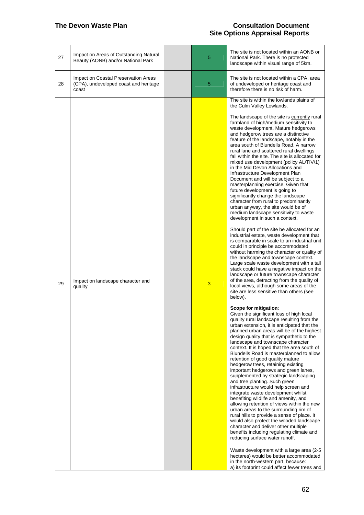| 27 | Impact on Areas of Outstanding Natural<br>Beauty (AONB) and/or National Park           | 5 | The site is not located within an AONB or<br>National Park. There is no protected<br>landscape within visual range of 5km.                                                                                                                                                                                                                                                                                                                                                                                                                                                                                                                                                                                                                                                                                                                                                                                                                                                                                                                                                                                                                                                                                                                                                                                                                                                                                                                                                                                                                                                                                                                                                                                                                                                                                                                                                                                                                         |
|----|----------------------------------------------------------------------------------------|---|----------------------------------------------------------------------------------------------------------------------------------------------------------------------------------------------------------------------------------------------------------------------------------------------------------------------------------------------------------------------------------------------------------------------------------------------------------------------------------------------------------------------------------------------------------------------------------------------------------------------------------------------------------------------------------------------------------------------------------------------------------------------------------------------------------------------------------------------------------------------------------------------------------------------------------------------------------------------------------------------------------------------------------------------------------------------------------------------------------------------------------------------------------------------------------------------------------------------------------------------------------------------------------------------------------------------------------------------------------------------------------------------------------------------------------------------------------------------------------------------------------------------------------------------------------------------------------------------------------------------------------------------------------------------------------------------------------------------------------------------------------------------------------------------------------------------------------------------------------------------------------------------------------------------------------------------------|
| 28 | Impact on Coastal Preservation Areas<br>(CPA), undeveloped coast and heritage<br>coast | 5 | The site is not located within a CPA, area<br>of undeveloped or heritage coast and<br>therefore there is no risk of harm.                                                                                                                                                                                                                                                                                                                                                                                                                                                                                                                                                                                                                                                                                                                                                                                                                                                                                                                                                                                                                                                                                                                                                                                                                                                                                                                                                                                                                                                                                                                                                                                                                                                                                                                                                                                                                          |
| 29 | Impact on landscape character and<br>quality                                           | 3 | The site is within the lowlands plains of<br>the Culm Valley Lowlands.<br>The landscape of the site is currently rural<br>farmland of high/medium sensitivity to<br>waste development. Mature hedgerows<br>and hedgerow trees are a distinctive<br>feature of the landscape, notably in the<br>area south of Blundells Road. A narrow<br>rural lane and scattered rural dwellings<br>fall within the site. The site is allocated for<br>mixed use development (policy AL/TIV/1)<br>in the Mid Devon Allocations and<br>Infrastructure Development Plan<br>Document and will be subject to a<br>masterplanning exercise. Given that<br>future development is going to<br>significantly change the landscape<br>character from rural to predominantly<br>urban anyway, the site would be of<br>medium landscape sensitivity to waste<br>development in such a context.<br>Should part of the site be allocated for an<br>industrial estate, waste development that<br>is comparable in scale to an industrial unit<br>could in principle be accommodated<br>without harming the character or quality of<br>the landscape and townscape context.<br>Large scale waste development with a tall<br>stack could have a negative impact on the<br>landscape or future townscape character<br>of the area, detracting from the quality of<br>local views, although some areas of the<br>site are less sensitive than others (see<br>below).<br>Scope for mitigation:<br>Given the significant loss of high local<br>quality rural landscape resulting from the<br>urban extension, it is anticipated that the<br>planned urban areas will be of the highest<br>design quality that is sympathetic to the<br>landscape and townscape character<br>context. It is hoped that the area south of<br>Blundells Road is masterplanned to allow<br>retention of good quality mature<br>hedgerow trees, retaining existing<br>important hedgerows and green lanes, |
|    |                                                                                        |   | supplemented by strategic landscaping<br>and tree planting. Such green<br>infrastructure would help screen and<br>integrate waste development whilst<br>benefiting wildlife and amenity, and<br>allowing retention of views within the new<br>urban areas to the surrounding rim of<br>rural hills to provide a sense of place. It<br>would also protect the wooded landscape<br>character and deliver other multiple<br>benefits including regulating climate and<br>reducing surface water runoff.                                                                                                                                                                                                                                                                                                                                                                                                                                                                                                                                                                                                                                                                                                                                                                                                                                                                                                                                                                                                                                                                                                                                                                                                                                                                                                                                                                                                                                               |
|    |                                                                                        |   | Waste development with a large area (2-5)<br>hectares) would be better accommodated<br>in the north-western part, because:<br>a) its footprint could affect fewer trees and                                                                                                                                                                                                                                                                                                                                                                                                                                                                                                                                                                                                                                                                                                                                                                                                                                                                                                                                                                                                                                                                                                                                                                                                                                                                                                                                                                                                                                                                                                                                                                                                                                                                                                                                                                        |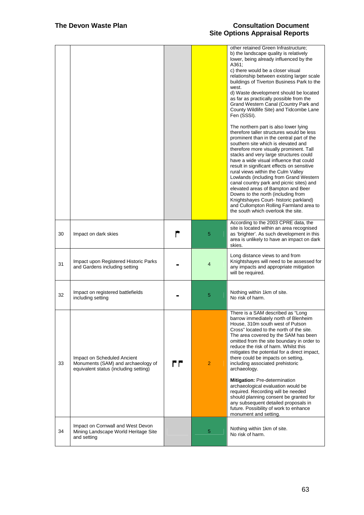|    |                                                                                                            |    |                | other retained Green Infrastructure;<br>b) the landscape quality is relatively<br>lower, being already influenced by the<br>A361;<br>c) there would be a closer visual<br>relationship between existing larger scale<br>buildings of Tiverton Business Park to the<br>west.<br>d) Waste development should be located<br>as far as practically possible from the<br>Grand Western Canal (Country Park and<br>County Wildlife Site) and Tidcombe Lane<br>Fen (SSSI).<br>The northern part is also lower lying<br>therefore taller structures would be less<br>prominent than in the central part of the<br>southern site which is elevated and<br>therefore more visually prominent. Tall<br>stacks and very large structures could<br>have a wide visual influence that could<br>result in significant effects on sensitive<br>rural views within the Culm Valley<br>Lowlands (including from Grand Western<br>canal country park and picnic sites) and<br>elevated areas of Bampton and Beer<br>Downs to the north (including from<br>Knightshayes Court- historic parkland)<br>and Cullompton Rolling Farmland area to<br>the south which overlook the site. |
|----|------------------------------------------------------------------------------------------------------------|----|----------------|----------------------------------------------------------------------------------------------------------------------------------------------------------------------------------------------------------------------------------------------------------------------------------------------------------------------------------------------------------------------------------------------------------------------------------------------------------------------------------------------------------------------------------------------------------------------------------------------------------------------------------------------------------------------------------------------------------------------------------------------------------------------------------------------------------------------------------------------------------------------------------------------------------------------------------------------------------------------------------------------------------------------------------------------------------------------------------------------------------------------------------------------------------------|
| 30 | Impact on dark skies                                                                                       |    | 5              | According to the 2003 CPRE data, the<br>site is located within an area recognised<br>as 'brighter'. As such development in this<br>area is unlikely to have an impact on dark<br>skies.                                                                                                                                                                                                                                                                                                                                                                                                                                                                                                                                                                                                                                                                                                                                                                                                                                                                                                                                                                        |
| 31 | Impact upon Registered Historic Parks<br>and Gardens including setting                                     |    | 4              | Long distance views to and from<br>Knightshayes will need to be assessed for<br>any impacts and appropriate mitigation<br>will be required.                                                                                                                                                                                                                                                                                                                                                                                                                                                                                                                                                                                                                                                                                                                                                                                                                                                                                                                                                                                                                    |
| 32 | Impact on registered battlefields<br>including setting                                                     |    | 5              | Nothing within 1km of site.<br>No risk of harm.                                                                                                                                                                                                                                                                                                                                                                                                                                                                                                                                                                                                                                                                                                                                                                                                                                                                                                                                                                                                                                                                                                                |
| 33 | Impact on Scheduled Ancient<br>Monuments (SAM) and archaeology of<br>equivalent status (including setting) | rr | $\overline{2}$ | There is a SAM described as "Long<br>barrow immediately north of Blenheim<br>House, 310m south west of Putson<br>Cross" located to the north of the site.<br>The area covered by the SAM has been<br>omitted from the site boundary in order to<br>reduce the risk of harm. Whilst this<br>mitigates the potential for a direct impact,<br>there could be impacts on setting,<br>including associated prehistoric<br>archaeology.<br>Mitigation: Pre-determination<br>archaeological evaluation would be<br>required. Recording will be needed<br>should planning consent be granted for<br>any subsequent detailed proposals in<br>future. Possibility of work to enhance<br>monument and setting.                                                                                                                                                                                                                                                                                                                                                                                                                                                            |
| 34 | Impact on Cornwall and West Devon<br>Mining Landscape World Heritage Site<br>and setting                   |    | 5              | Nothing within 1km of site.<br>No risk of harm.                                                                                                                                                                                                                                                                                                                                                                                                                                                                                                                                                                                                                                                                                                                                                                                                                                                                                                                                                                                                                                                                                                                |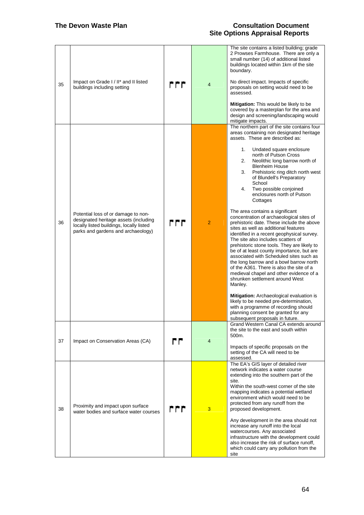| 35 | Impact on Grade I / II* and II listed<br>buildings including setting                                                                                           | rrr   | $\overline{4}$ | The site contains a listed building; grade<br>2 Prowses Farmhouse. There are only a<br>small number (14) of additional listed<br>buildings located within 1km of the site<br>boundary.<br>No direct impact. Impacts of specific<br>proposals on setting would need to be<br>assessed.<br>Mitigation: This would be likely to be<br>covered by a masterplan for the area and<br>design and screening/landscaping would<br>mitigate impacts.                                                                                                                                                                                                                                                                                                                                                                                                                                                                                                                                                                                                                                                                                                                                                                |
|----|----------------------------------------------------------------------------------------------------------------------------------------------------------------|-------|----------------|-----------------------------------------------------------------------------------------------------------------------------------------------------------------------------------------------------------------------------------------------------------------------------------------------------------------------------------------------------------------------------------------------------------------------------------------------------------------------------------------------------------------------------------------------------------------------------------------------------------------------------------------------------------------------------------------------------------------------------------------------------------------------------------------------------------------------------------------------------------------------------------------------------------------------------------------------------------------------------------------------------------------------------------------------------------------------------------------------------------------------------------------------------------------------------------------------------------|
| 36 | Potential loss of or damage to non-<br>designated heritage assets (including<br>locally listed buildings, locally listed<br>parks and gardens and archaeology) | r r r | $\overline{2}$ | The northern part of the site contains four<br>areas containing non designated heritage<br>assets. These are described as:<br>Undated square enclosure<br>1.<br>north of Putson Cross<br>Neolithic long barrow north of<br>2.<br><b>Blenheim House</b><br>Prehistoric ring ditch north west<br>3.<br>of Blundell's Preparatory<br>School<br>Two possible conjoined<br>4.<br>enclosures north of Putson<br>Cottages<br>The area contains a significant<br>concentration of archaeological sites of<br>prehistoric date. These include the above<br>sites as well as additional features<br>identified in a recent geophysical survey.<br>The site also includes scatters of<br>prehistoric stone tools. They are likely to<br>be of at least county importance, but are<br>associated with Scheduled sites such as<br>the long barrow and a bowl barrow north<br>of the A361. There is also the site of a<br>medieval chapel and other evidence of a<br>shrunken settlement around West<br>Manley.<br>Mitigation: Archaeological evaluation is<br>likely to be needed pre-determination,<br>with a programme of recording should<br>planning consent be granted for any<br>subsequent proposals in future. |
| 37 | Impact on Conservation Areas (CA)                                                                                                                              | rr    | 4              | Grand Western Canal CA extends around<br>the site to the east and south within<br>500m.<br>Impacts of specific proposals on the<br>setting of the CA will need to be<br>assessed.                                                                                                                                                                                                                                                                                                                                                                                                                                                                                                                                                                                                                                                                                                                                                                                                                                                                                                                                                                                                                         |
| 38 | Proximity and impact upon surface<br>water bodies and surface water courses                                                                                    | rrr   | 3              | The EA's GIS layer of detailed river<br>network indicates a water course<br>extending into the southern part of the<br>site.<br>Within the south-west corner of the site<br>mapping indicates a potential wetland<br>environment which would need to be<br>protected from any runoff from the<br>proposed development.<br>Any development in the area should not<br>increase any runoff into the local<br>watercourses. Any associated<br>infrastructure with the development could<br>also increase the risk of surface runoff.<br>which could carry any pollution from the<br>site                                                                                                                                                                                                                                                                                                                                                                                                                                                                                                                                                                                                                      |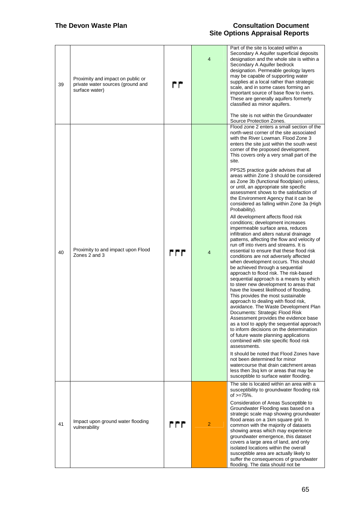| 39 | Proximity and impact on public or<br>private water sources (ground and<br>surface water) | rr  | $\overline{4}$ | Part of the site is located within a<br>Secondary A Aquifer superficial deposits<br>designation and the whole site is within a<br>Secondary A Aquifer bedrock<br>designation. Permeable geology layers<br>may be capable of supporting water<br>supplies at a local rather than strategic<br>scale, and in some cases forming an<br>important source of base flow to rivers.<br>These are generally aquifers formerly<br>classified as minor aquifers.<br>The site is not within the Groundwater<br>Source Protection Zones.                                                                                                                                                                                                                                                                                                                                                                                                                                                                                                                                                                                                                                                                                                                                                                                                                                                                                                                                                                                                                                                                                                                                                                                                                                                                                         |
|----|------------------------------------------------------------------------------------------|-----|----------------|----------------------------------------------------------------------------------------------------------------------------------------------------------------------------------------------------------------------------------------------------------------------------------------------------------------------------------------------------------------------------------------------------------------------------------------------------------------------------------------------------------------------------------------------------------------------------------------------------------------------------------------------------------------------------------------------------------------------------------------------------------------------------------------------------------------------------------------------------------------------------------------------------------------------------------------------------------------------------------------------------------------------------------------------------------------------------------------------------------------------------------------------------------------------------------------------------------------------------------------------------------------------------------------------------------------------------------------------------------------------------------------------------------------------------------------------------------------------------------------------------------------------------------------------------------------------------------------------------------------------------------------------------------------------------------------------------------------------------------------------------------------------------------------------------------------------|
| 40 | Proximity to and impact upon Flood<br>Zones 2 and 3                                      | rrr | $\overline{4}$ | Flood zone 2 enters a small section of the<br>north-west corner of the site associated<br>with the River Lowman. Flood Zone 3<br>enters the site just within the south west<br>corner of the proposed development.<br>This covers only a very small part of the<br>site.<br>PPS25 practice guide advises that all<br>areas within Zone 3 should be considered<br>as Zone 3b (functional floodplain) unless,<br>or until, an appropriate site specific<br>assessment shows to the satisfaction of<br>the Environment Agency that it can be<br>considered as falling within Zone 3a (High<br>Probability).<br>All development affects flood risk<br>conditions; development increases<br>impermeable surface area, reduces<br>infiltration and alters natural drainage<br>patterns, affecting the flow and velocity of<br>run off into rivers and streams. It is<br>essential to ensure that these flood risk<br>conditions are not adversely affected<br>when development occurs. This should<br>be achieved through a sequential<br>approach to flood risk. The risk-based<br>sequential approach is a means by which<br>to steer new development to areas that<br>have the lowest likelihood of flooding.<br>This provides the most sustainable<br>approach to dealing with flood risk,<br>avoidance. The Waste Development Plan<br>Documents: Strategic Flood Risk<br>Assessment provides the evidence base<br>as a tool to apply the sequential approach<br>to inform decisions on the determination<br>of future waste planning applications<br>combined with site specific flood risk<br>assessments.<br>It should be noted that Flood Zones have<br>not been determined for minor<br>watercourse that drain catchment areas<br>less then 3sq km or areas that may be<br>susceptible to surface water flooding. |
| 41 | Impact upon ground water flooding<br>vulnerability                                       | rrr | $\overline{2}$ | The site is located within an area with a<br>susceptibility to groundwater flooding risk<br>of $>=75%$ .<br>Consideration of Areas Susceptible to<br>Groundwater Flooding was based on a<br>strategic scale map showing groundwater<br>flood areas on a 1km square grid. In<br>common with the majority of datasets<br>showing areas which may experience<br>groundwater emergence, this dataset<br>covers a large area of land, and only<br>isolated locations within the overall<br>susceptible area are actually likely to<br>suffer the consequences of groundwater<br>flooding. The data should not be                                                                                                                                                                                                                                                                                                                                                                                                                                                                                                                                                                                                                                                                                                                                                                                                                                                                                                                                                                                                                                                                                                                                                                                                          |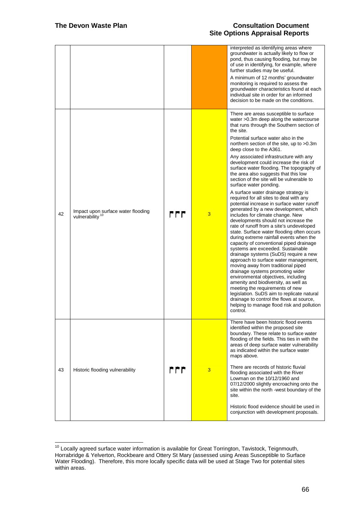$\overline{a}$ 

|    |                                                                   |       |   | interpreted as identifying areas where<br>groundwater is actually likely to flow or<br>pond, thus causing flooding, but may be<br>of use in identifying, for example, where<br>further studies may be useful.<br>A minimum of 12 months' groundwater<br>monitoring is required to assess the<br>groundwater characteristics found at each<br>individual site in order for an informed<br>decision to be made on the conditions.                                                                                                                                                                                                                                                                                                                                                                                                                                                                                                                                                                                                                                                                                                                                                                                                                                                                                                                                                                                         |
|----|-------------------------------------------------------------------|-------|---|-------------------------------------------------------------------------------------------------------------------------------------------------------------------------------------------------------------------------------------------------------------------------------------------------------------------------------------------------------------------------------------------------------------------------------------------------------------------------------------------------------------------------------------------------------------------------------------------------------------------------------------------------------------------------------------------------------------------------------------------------------------------------------------------------------------------------------------------------------------------------------------------------------------------------------------------------------------------------------------------------------------------------------------------------------------------------------------------------------------------------------------------------------------------------------------------------------------------------------------------------------------------------------------------------------------------------------------------------------------------------------------------------------------------------|
| 42 | Impact upon surface water flooding<br>vulnerability <sup>10</sup> | r r r | 3 | There are areas susceptible to surface<br>water > 0.3m deep along the watercourse<br>that runs through the Southern section of<br>the site.<br>Potential surface water also in the<br>northern section of the site, up to >0.3m<br>deep close to the A361.<br>Any associated infrastructure with any<br>development could increase the risk of<br>surface water flooding. The topography of<br>the area also suggests that this low<br>section of the site will be vulnerable to<br>surface water ponding.<br>A surface water drainage strategy is<br>required for all sites to deal with any<br>potential increase in surface water runoff<br>generated by a new development, which<br>includes for climate change. New<br>developments should not increase the<br>rate of runoff from a site's undeveloped<br>state. Surface water flooding often occurs<br>during extreme rainfall events when the<br>capacity of conventional piped drainage<br>systems are exceeded. Sustainable<br>drainage systems (SuDS) require a new<br>approach to surface water management,<br>moving away from traditional piped<br>drainage systems promoting wider<br>environmental objectives, including<br>amenity and biodiversity, as well as<br>meeting the requirements of new<br>legislation. SuDS aim to replicate natural<br>drainage to control the flows at source,<br>helping to manage flood risk and pollution<br>control. |
| 43 | Historic flooding vulnerability                                   | r r r | 3 | There have been historic flood events<br>identified within the proposed site<br>boundary. These relate to surface water<br>flooding of the fields. This ties in with the<br>areas of deep surface water vulnerability<br>as indicated within the surface water<br>maps above.<br>There are records of historic fluvial<br>flooding associated with the River<br>Lowman on the 10/12/1960 and<br>07/12/2000 slightly encroaching onto the<br>site within the north -west boundary of the<br>site.<br>Historic flood evidence should be used in<br>conjunction with development proposals.                                                                                                                                                                                                                                                                                                                                                                                                                                                                                                                                                                                                                                                                                                                                                                                                                                |

 $10$  Locally agreed surface water information is available for Great Torrington, Tavistock, Teignmouth, Horrabridge & Yelverton, Rockbeare and Ottery St Mary (assessed using Areas Susceptible to Surface Water Flooding). Therefore, this more locally specific data will be used at Stage Two for potential sites within areas.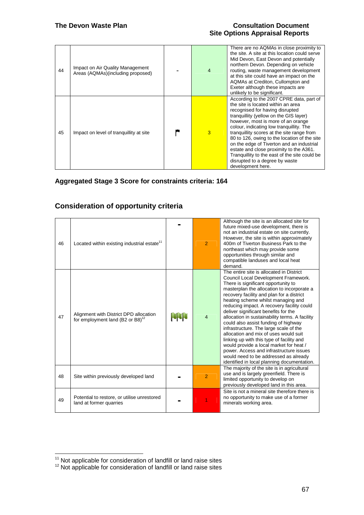| 44 | Impact on Air Quality Management<br>Areas (AQMAs)(including proposed) | $\overline{4}$ | There are no AQMAs in close proximity to<br>the site. A site at this location could serve<br>Mid Devon, East Devon and potentially<br>northern Devon. Depending on vehicle<br>routing, waste management development<br>at this site could have an impact on the<br>AQMAs at Crediton, Cullompton and<br>Exeter although these impacts are<br>unlikely to be significant.                                                                                                                                                                    |
|----|-----------------------------------------------------------------------|----------------|---------------------------------------------------------------------------------------------------------------------------------------------------------------------------------------------------------------------------------------------------------------------------------------------------------------------------------------------------------------------------------------------------------------------------------------------------------------------------------------------------------------------------------------------|
| 45 | Impact on level of tranquillity at site                               | 3              | According to the 2007 CPRE data, part of<br>the site is located within an area<br>recognised for having disrupted<br>tranguillity (yellow on the GIS layer)<br>however, most is more of an orange<br>colour, indicating low tranguillity. The<br>tranguillity scores at the site range from<br>80 to 126, owing to the location of the site<br>on the edge of Tiverton and an industrial<br>estate and close proximity to the A361.<br>Tranquillity to the east of the site could be<br>disrupted to a degree by waste<br>development here. |

**Aggregated Stage 3 Score for constraints criteria: 164** 

# **Consideration of opportunity criteria**

| 46 | Located within existing industrial estate <sup>11</sup>                       |            | $\overline{2}$ | Although the site is an allocated site for<br>future mixed-use development, there is<br>not an industrial estate on site currently.<br>However, the site is within approximately<br>400m of Tiverton Business Park to the<br>northeast which may provide some<br>opportunities through similar and<br>compatible landuses and local heat<br>demand.                                                                                                                                                                                                                                                                                                                                                                                                    |
|----|-------------------------------------------------------------------------------|------------|----------------|--------------------------------------------------------------------------------------------------------------------------------------------------------------------------------------------------------------------------------------------------------------------------------------------------------------------------------------------------------------------------------------------------------------------------------------------------------------------------------------------------------------------------------------------------------------------------------------------------------------------------------------------------------------------------------------------------------------------------------------------------------|
| 47 | Alignment with District DPD allocation<br>for employment land (B2 or B8) $12$ | <b>MAR</b> | 4              | The entire site is allocated in District<br>Council Local Development Framework.<br>There is significant opportunity to<br>masterplan the allocation to incorporate a<br>recovery facility and plan for a district<br>heating scheme whilst managing and<br>reducing impact. A recovery facility could<br>deliver significant benefits for the<br>allocation in sustainability terms. A facility<br>could also assist funding of highway<br>infrastructure. The large scale of the<br>allocation and mix of uses would suit<br>linking up with this type of facility and<br>would provide a local market for heat /<br>power. Access and infrastructure issues<br>would need to be addressed as already<br>identified in local planning documentation. |
| 48 | Site within previously developed land                                         |            | $\overline{2}$ | The majority of the site is in agricultural<br>use and is largely greenfield. There is<br>limited opportunity to develop on<br>previously developed land in this area.                                                                                                                                                                                                                                                                                                                                                                                                                                                                                                                                                                                 |
| 49 | Potential to restore, or utilise unrestored<br>land at former quarries        |            |                | Site is not a mineral site therefore there is<br>no opportunity to make use of a former<br>minerals working area.                                                                                                                                                                                                                                                                                                                                                                                                                                                                                                                                                                                                                                      |

<sup>&</sup>lt;sup>11</sup> Not applicable for consideration of landfill or land raise sites

 $12$  Not applicable for consideration of landfill or land raise sites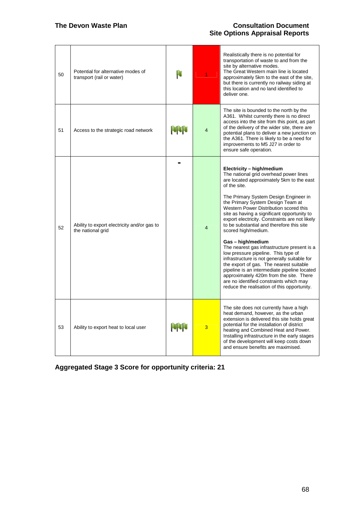| 50 | Potential for alternative modes of<br>transport (rail or water)  | H           |                | Realistically there is no potential for<br>transportation of waste to and from the<br>site by alternative modes.<br>The Great Western main line is located<br>approximately 5km to the east of the site,<br>but there is currently no railway siding at<br>this location and no land identified to<br>deliver one.                                                                                                                                                                                                                                                                                                                                                                                                                                                                                                       |
|----|------------------------------------------------------------------|-------------|----------------|--------------------------------------------------------------------------------------------------------------------------------------------------------------------------------------------------------------------------------------------------------------------------------------------------------------------------------------------------------------------------------------------------------------------------------------------------------------------------------------------------------------------------------------------------------------------------------------------------------------------------------------------------------------------------------------------------------------------------------------------------------------------------------------------------------------------------|
| 51 | Access to the strategic road network                             | <b>POPU</b> | $\overline{4}$ | The site is bounded to the north by the<br>A361. Whilst currently there is no direct<br>access into the site from this point, as part<br>of the delivery of the wider site, there are<br>potential plans to deliver a new junction on<br>the A361. There is likely to be a need for<br>improvements to M5 J27 in order to<br>ensure safe operation.                                                                                                                                                                                                                                                                                                                                                                                                                                                                      |
| 52 | Ability to export electricity and/or gas to<br>the national grid |             | 4              | Electricity - high/medium<br>The national grid overhead power lines<br>are located approximately 5km to the east<br>of the site.<br>The Primary System Design Engineer in<br>the Primary System Design Team at<br>Western Power Distribution scored this<br>site as having a significant opportunity to<br>export electricity. Constraints are not likely<br>to be substantial and therefore this site<br>scored high/medium.<br>Gas - high/medium<br>The nearest gas infrastructure present is a<br>low pressure pipeline. This type of<br>infrastructure is not generally suitable for<br>the export of gas. The nearest suitable<br>pipeline is an intermediate pipeline located<br>approximately 420m from the site. There<br>are no identified constraints which may<br>reduce the realisation of this opportunity. |
| 53 | Ability to export heat to local user                             | <b>NNN</b>  | 3              | The site does not currently have a high<br>heat demand, however, as the urban<br>extension is delivered this site holds great<br>potential for the installation of district<br>heating and Combined Heat and Power.<br>Installing infrastructure in the early stages<br>of the development will keep costs down<br>and ensure benefits are maximised.                                                                                                                                                                                                                                                                                                                                                                                                                                                                    |

**Aggregated Stage 3 Score for opportunity criteria: 21**